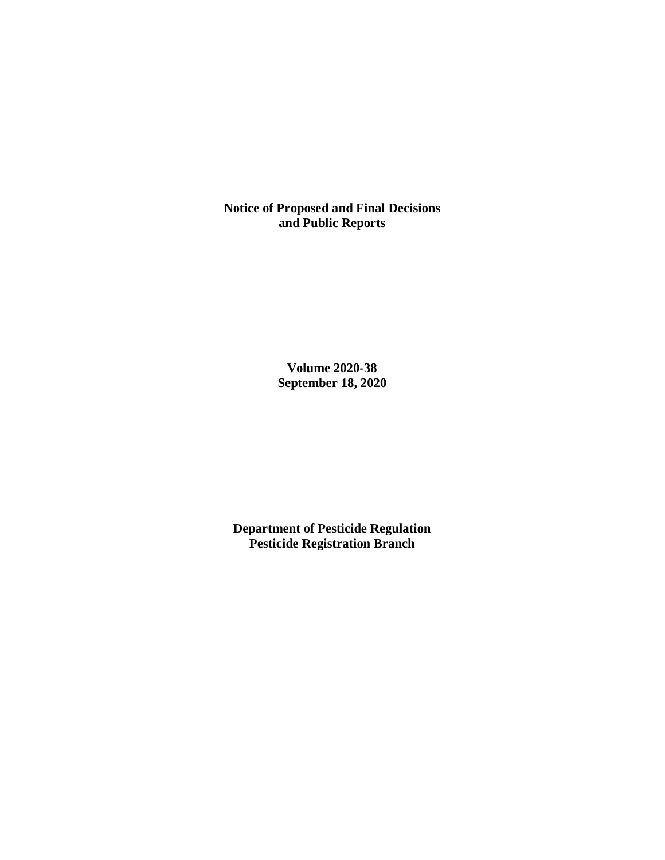**Notice of Proposed and Final Decisions and Public Reports**

> **Volume 2020-38 September 18, 2020**

**Department of Pesticide Regulation Pesticide Registration Branch**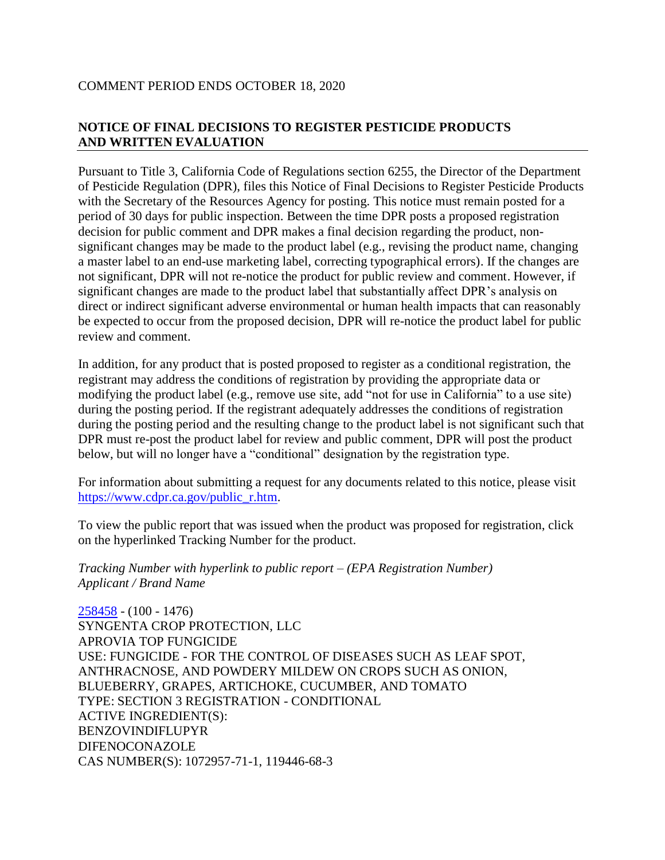# COMMENT PERIOD ENDS OCTOBER 18, 2020

# **NOTICE OF FINAL DECISIONS TO REGISTER PESTICIDE PRODUCTS AND WRITTEN EVALUATION**

Pursuant to Title 3, California Code of Regulations section 6255, the Director of the Department of Pesticide Regulation (DPR), files this Notice of Final Decisions to Register Pesticide Products with the Secretary of the Resources Agency for posting. This notice must remain posted for a period of 30 days for public inspection. Between the time DPR posts a proposed registration decision for public comment and DPR makes a final decision regarding the product, nonsignificant changes may be made to the product label (e.g., revising the product name, changing a master label to an end-use marketing label, correcting typographical errors). If the changes are not significant, DPR will not re-notice the product for public review and comment. However, if significant changes are made to the product label that substantially affect DPR's analysis on direct or indirect significant adverse environmental or human health impacts that can reasonably be expected to occur from the proposed decision, DPR will re-notice the product label for public review and comment.

In addition, for any product that is posted proposed to register as a conditional registration, the registrant may address the conditions of registration by providing the appropriate data or modifying the product label (e.g., remove use site, add "not for use in California" to a use site) during the posting period. If the registrant adequately addresses the conditions of registration during the posting period and the resulting change to the product label is not significant such that DPR must re-post the product label for review and public comment, DPR will post the product below, but will no longer have a "conditional" designation by the registration type.

For information about submitting a request for any documents related to this notice, please visit [https://www.cdpr.ca.gov/public\\_r.htm.](https://www.cdpr.ca.gov/public_r.htm)

To view the public report that was issued when the product was proposed for registration, click on the hyperlinked Tracking Number for the product.

*Tracking Number with hyperlink to public report – (EPA Registration Number) Applicant / Brand Name*

[258458](https://www.cdpr.ca.gov/docs/registration/nod/public_reports/258458.pdf) - (100 - 1476) SYNGENTA CROP PROTECTION, LLC APROVIA TOP FUNGICIDE USE: FUNGICIDE - FOR THE CONTROL OF DISEASES SUCH AS LEAF SPOT, ANTHRACNOSE, AND POWDERY MILDEW ON CROPS SUCH AS ONION, BLUEBERRY, GRAPES, ARTICHOKE, CUCUMBER, AND TOMATO TYPE: SECTION 3 REGISTRATION - CONDITIONAL ACTIVE INGREDIENT(S): BENZOVINDIFLUPYR DIFENOCONAZOLE CAS NUMBER(S): 1072957-71-1, 119446-68-3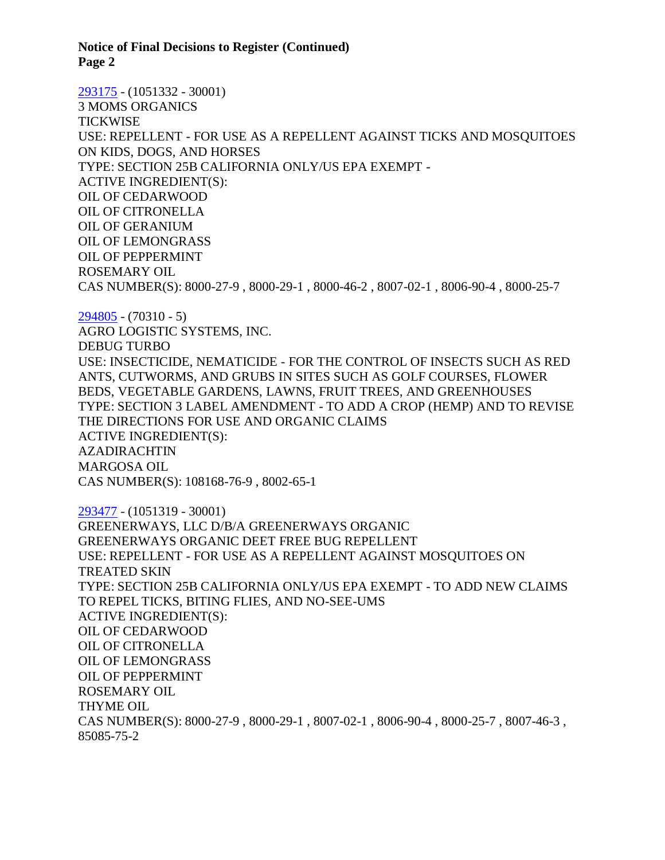**Notice of Final Decisions to Register (Continued) Page 2**

[293175](https://www.cdpr.ca.gov/docs/registration/nod/public_reports/293175.pdf) - (1051332 - 30001) 3 MOMS ORGANICS **TICKWISE** USE: REPELLENT - FOR USE AS A REPELLENT AGAINST TICKS AND MOSQUITOES ON KIDS, DOGS, AND HORSES TYPE: SECTION 25B CALIFORNIA ONLY/US EPA EXEMPT - ACTIVE INGREDIENT(S): OIL OF CEDARWOOD OIL OF CITRONELLA OIL OF GERANIUM OIL OF LEMONGRASS OIL OF PEPPERMINT ROSEMARY OIL CAS NUMBER(S): 8000-27-9 , 8000-29-1 , 8000-46-2 , 8007-02-1 , 8006-90-4 , 8000-25-7

[294805](https://www.cdpr.ca.gov/docs/registration/nod/public_reports/294805.pdf) - (70310 - 5) AGRO LOGISTIC SYSTEMS, INC. DEBUG TURBO USE: INSECTICIDE, NEMATICIDE - FOR THE CONTROL OF INSECTS SUCH AS RED ANTS, CUTWORMS, AND GRUBS IN SITES SUCH AS GOLF COURSES, FLOWER BEDS, VEGETABLE GARDENS, LAWNS, FRUIT TREES, AND GREENHOUSES TYPE: SECTION 3 LABEL AMENDMENT - TO ADD A CROP (HEMP) AND TO REVISE THE DIRECTIONS FOR USE AND ORGANIC CLAIMS ACTIVE INGREDIENT(S): AZADIRACHTIN MARGOSA OIL CAS NUMBER(S): 108168-76-9 , 8002-65-1

[293477](https://www.cdpr.ca.gov/docs/registration/nod/public_reports/293477.pdf) - (1051319 - 30001) GREENERWAYS, LLC D/B/A GREENERWAYS ORGANIC GREENERWAYS ORGANIC DEET FREE BUG REPELLENT USE: REPELLENT - FOR USE AS A REPELLENT AGAINST MOSQUITOES ON TREATED SKIN TYPE: SECTION 25B CALIFORNIA ONLY/US EPA EXEMPT - TO ADD NEW CLAIMS TO REPEL TICKS, BITING FLIES, AND NO-SEE-UMS ACTIVE INGREDIENT(S): OIL OF CEDARWOOD OIL OF CITRONELLA OIL OF LEMONGRASS OIL OF PEPPERMINT ROSEMARY OIL THYME OIL CAS NUMBER(S): 8000-27-9 , 8000-29-1 , 8007-02-1 , 8006-90-4 , 8000-25-7 , 8007-46-3 , 85085-75-2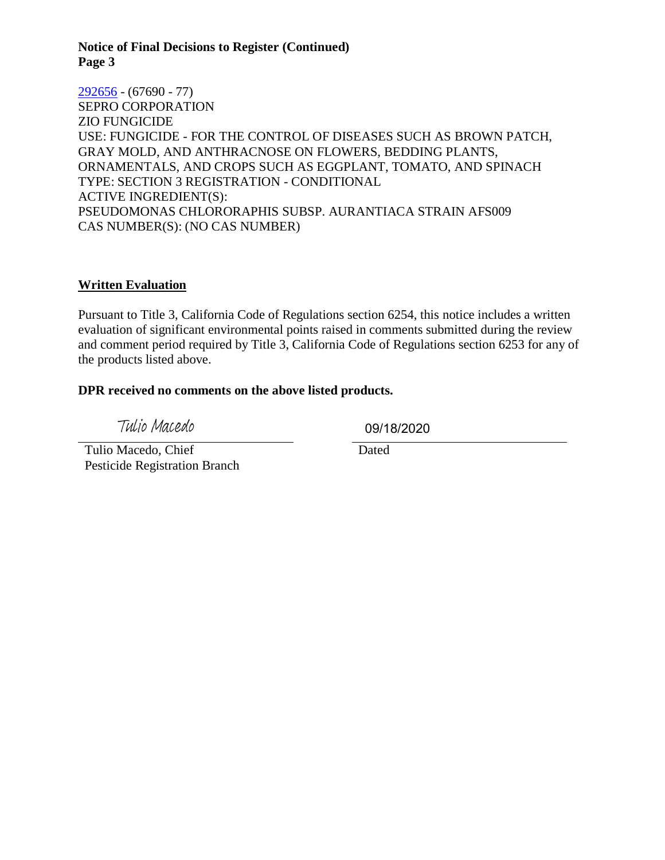#### **Notice of Final Decisions to Register (Continued) Page 3**

[292656](https://www.cdpr.ca.gov/docs/registration/nod/public_reports/292656.pdf) - (67690 - 77) SEPRO CORPORATION ZIO FUNGICIDE USE: FUNGICIDE - FOR THE CONTROL OF DISEASES SUCH AS BROWN PATCH, GRAY MOLD, AND ANTHRACNOSE ON FLOWERS, BEDDING PLANTS, ORNAMENTALS, AND CROPS SUCH AS EGGPLANT, TOMATO, AND SPINACH TYPE: SECTION 3 REGISTRATION - CONDITIONAL ACTIVE INGREDIENT(S): PSEUDOMONAS CHLORORAPHIS SUBSP. AURANTIACA STRAIN AFS009 CAS NUMBER(S): (NO CAS NUMBER)

### **Written Evaluation**

Pursuant to Title 3, California Code of Regulations section 6254, this notice includes a written evaluation of significant environmental points raised in comments submitted during the review and comment period required by Title 3, California Code of Regulations section 6253 for any of the products listed above.

### **DPR received no comments on the above listed products.**

Tulio Macedo

09/18/2020

 Tulio Macedo, Chief Pesticide Registration Branch **Dated**